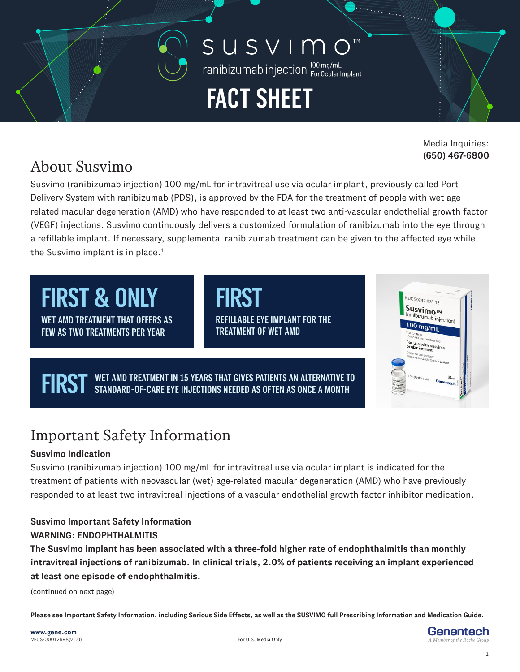### SUSVIMO **TM**

ranibizumab injection loomg/mL

# **FACT SHEET**

Media Inquiries: **(650) 467-6800**

### About Susvimo

Susvimo (ranibizumab injection) 100 mg/mL for intravitreal use via ocular implant, previously called Port Delivery System with ranibizumab (PDS), is approved by the FDA for the treatment of people with wet agerelated macular degeneration (AMD) who have responded to at least two anti-vascular endothelial growth factor (VEGF) injections. Susvimo continuously delivers a customized formulation of ranibizumab into the eye through a refillable implant. If necessary, supplemental ranibizumab treatment can be given to the affected eye while the Susvimo implant is in place.<sup>1</sup>

**WET AMD TREATMENT THAT OFFERS AS FIRST & ONLY** 

**FEW AS TWO TREATMENTS PER YEAR**

**REFILLABLE EYE IMPLANT FOR THE TREATMENT OF WET AMD**

**WET AMD TREATMENT IN 15 YEARS THAT GIVES PATIENTS AN ALTERNATIVE TO FIRST AND ALTERNATIVE TO FIRST ASSETS** 



# Important Safety Information

### **Susvimo Indication**

Susvimo (ranibizumab injection) 100 mg/mL for intravitreal use via ocular implant is indicated for the treatment of patients with neovascular (wet) age-related macular degeneration (AMD) who have previously responded to at least two intravitreal injections of a vascular endothelial growth factor inhibitor medication.

#### **Susvimo Important Safety Information WARNING: ENDOPHTHALMITIS**

**The Susvimo implant has been associated with a three-fold higher rate of endophthalmitis than monthly intravitreal injections of ranibizumab. In clinical trials, 2.0% of patients receiving an implant experienced at least one episode of endophthalmitis.**

(continued on next page)

**Please see Important Safety Information, including Serious Side Effects, as well as the SUSVIMO full Prescribing Information and Medication Guide.**

Genentech

1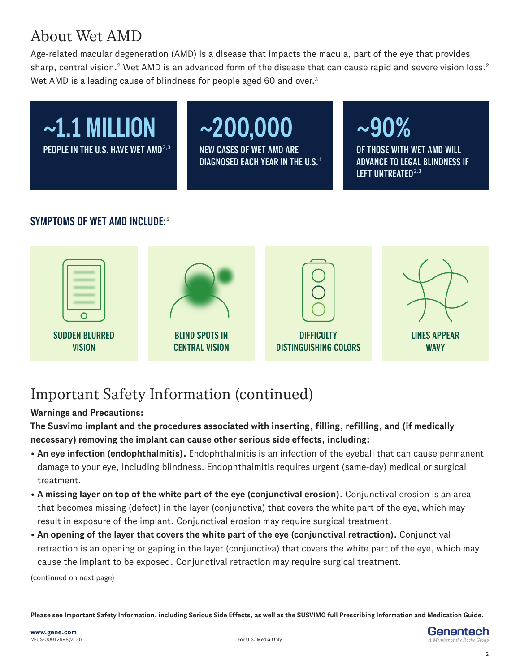### About Wet AMD

Age-related macular degeneration (AMD) is a disease that impacts the macula, part of the eye that provides sharp, central vision.<sup>2</sup> Wet AMD is an advanced form of the disease that can cause rapid and severe vision loss.<sup>2</sup> Wet AMD is a leading cause of blindness for people aged 60 and over.<sup>3</sup>



#### **SYMPTOMS OF WET AMD INCLUDE:**<sup>5</sup>



# Important Safety Information (continued)

#### **Warnings and Precautions:**

**The Susvimo implant and the procedures associated with inserting, filling, refilling, and (if medically necessary) removing the implant can cause other serious side effects, including:**

- **An eye infection (endophthalmitis).** Endophthalmitis is an infection of the eyeball that can cause permanent damage to your eye, including blindness. Endophthalmitis requires urgent (same-day) medical or surgical treatment.
- **A missing layer on top of the white part of the eye (conjunctival erosion).** Conjunctival erosion is an area that becomes missing (defect) in the layer (conjunctiva) that covers the white part of the eye, which may result in exposure of the implant. Conjunctival erosion may require surgical treatment.
- **An opening of the layer that covers the white part of the eye (conjunctival retraction).** Conjunctival retraction is an opening or gaping in the layer (conjunctiva) that covers the white part of the eye, which may cause the implant to be exposed. Conjunctival retraction may require surgical treatment.

(continued on next page)

**Please see Important Safety Information, including Serious Side Effects, as well as the SUSVIMO full Prescribing Information and Medication Guide.**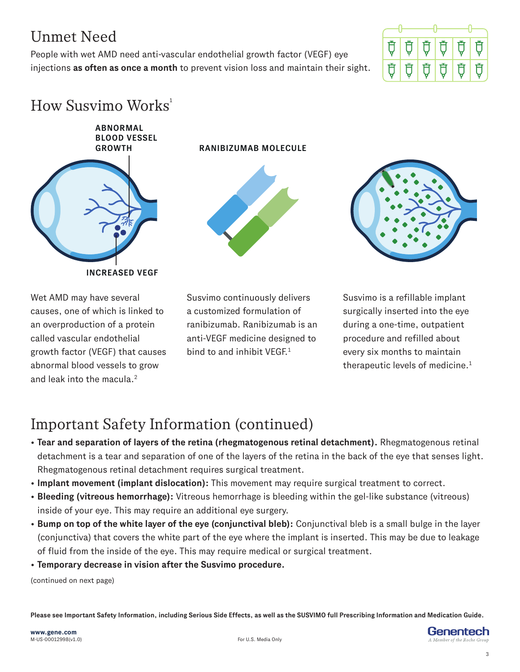### Unmet Need

People with wet AMD need anti-vascular endothelial growth factor (VEGF) eye injections **as often as once a month** to prevent vision loss and maintain their sight.



# $How$  Susvimo Works<sup>1</sup>

**ABNORMAL** 

**BLOOD VESSEL GROWTH RANIBIZUMAB MOLECULE**

**INCREASED VEGF**

Wet AMD may have several causes, one of which is linked to an overproduction of a protein called vascular endothelial growth factor (VEGF) that causes abnormal blood vessels to grow and leak into the macula.<sup>2</sup>

Susvimo continuously delivers a customized formulation of ranibizumab. Ranibizumab is an anti-VEGF medicine designed to bind to and inhibit VEGE<sup>1</sup>

Susvimo is a refillable implant surgically inserted into the eye during a one-time, outpatient procedure and refilled about every six months to maintain therapeutic levels of medicine.1

# Important Safety Information (continued)

- **Tear and separation of layers of the retina (rhegmatogenous retinal detachment).** Rhegmatogenous retinal detachment is a tear and separation of one of the layers of the retina in the back of the eye that senses light. Rhegmatogenous retinal detachment requires surgical treatment.
- **Implant movement (implant dislocation):** This movement may require surgical treatment to correct.
- **Bleeding (vitreous hemorrhage):** Vitreous hemorrhage is bleeding within the gel-like substance (vitreous) inside of your eye. This may require an additional eye surgery.
- **Bump on top of the white layer of the eye (conjunctival bleb):** Conjunctival bleb is a small bulge in the layer (conjunctiva) that covers the white part of the eye where the implant is inserted. This may be due to leakage of fluid from the inside of the eye. This may require medical or surgical treatment.
- **Temporary decrease in vision after the Susvimo procedure.**

(continued on next page)

**Please see Important Safety Information, including Serious Side Effects, as well as the SUSVIMO full Prescribing Information and Medication Guide.**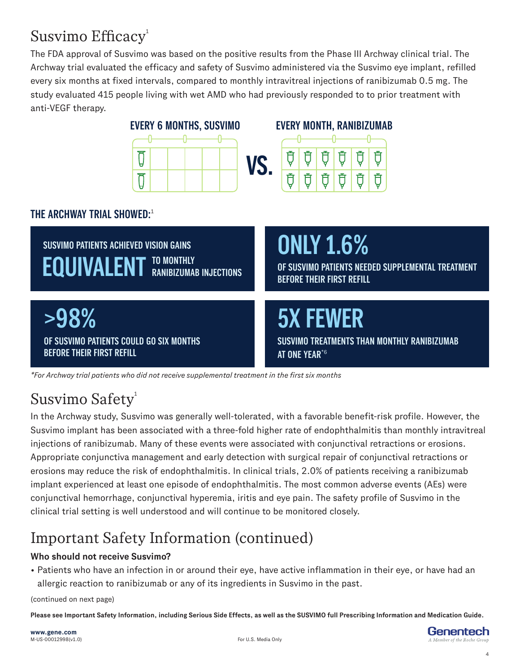### Susvimo Efficacy<sup>1</sup>

The FDA approval of Susvimo was based on the positive results from the Phase III Archway clinical trial. The Archway trial evaluated the efficacy and safety of Susvimo administered via the Susvimo eye implant, refilled every six months at fixed intervals, compared to monthly intravitreal injections of ranibizumab 0.5 mg. The study evaluated 415 people living with wet AMD who had previously responded to to prior treatment with anti-VEGF therapy.



*\*For Archway trial patients who did not receive supplemental treatment in the first six months*

# Susvimo Safety<sup>1</sup>

In the Archway study, Susvimo was generally well-tolerated, with a favorable benefit-risk profile. However, the Susvimo implant has been associated with a three-fold higher rate of endophthalmitis than monthly intravitreal injections of ranibizumab. Many of these events were associated with conjunctival retractions or erosions. Appropriate conjunctiva management and early detection with surgical repair of conjunctival retractions or erosions may reduce the risk of endophthalmitis. In clinical trials, 2.0% of patients receiving a ranibizumab implant experienced at least one episode of endophthalmitis. The most common adverse events (AEs) were conjunctival hemorrhage, conjunctival hyperemia, iritis and eye pain. The safety profile of Susvimo in the clinical trial setting is well understood and will continue to be monitored closely.

# Important Safety Information (continued)

#### **Who should not receive Susvimo?**

• Patients who have an infection in or around their eye, have active inflammation in their eye, or have had an allergic reaction to ranibizumab or any of its ingredients in Susvimo in the past.

(continued on next page)

**Please see Important Safety Information, including Serious Side Effects, as well as the SUSVIMO full Prescribing Information and Medication Guide.**